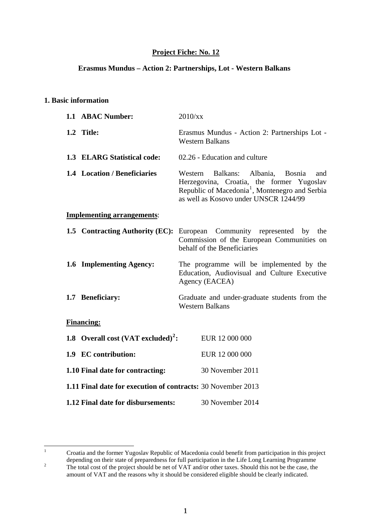## **Project Fiche: No. 12**

#### **Erasmus Mundus – Action 2: Partnerships, Lot - Western Balkans**

### **1. Basic information**

| 1.1 ABAC Number:                                             | 2010/xx                                                                                                                                                                                                  |  |
|--------------------------------------------------------------|----------------------------------------------------------------------------------------------------------------------------------------------------------------------------------------------------------|--|
| 1.2 Title:                                                   | Erasmus Mundus - Action 2: Partnerships Lot -<br><b>Western Balkans</b>                                                                                                                                  |  |
| 1.3 ELARG Statistical code:                                  | 02.26 - Education and culture                                                                                                                                                                            |  |
| 1.4 Location / Beneficiaries                                 | Balkans: Albania,<br>Western<br><b>Bosnia</b><br>and<br>Herzegovina, Croatia, the former Yugoslav<br>Republic of Macedonia <sup>1</sup> , Montenegro and Serbia<br>as well as Kosovo under UNSCR 1244/99 |  |
| <b>Implementing arrangements:</b>                            |                                                                                                                                                                                                          |  |
|                                                              | <b>1.5 Contracting Authority (EC):</b> European Community represented<br>by<br>the<br>Commission of the European Communities on<br>behalf of the Beneficiaries                                           |  |
| 1.6 Implementing Agency:                                     | The programme will be implemented by the<br>Education, Audiovisual and Culture Executive<br>Agency (EACEA)                                                                                               |  |
| 1.7 Beneficiary:                                             | Graduate and under-graduate students from the<br><b>Western Balkans</b>                                                                                                                                  |  |
| <b>Financing:</b>                                            |                                                                                                                                                                                                          |  |
| 1.8 Overall cost (VAT excluded) <sup>2</sup> :               | EUR 12 000 000                                                                                                                                                                                           |  |
| 1.9 EC contribution:                                         | EUR 12 000 000                                                                                                                                                                                           |  |
| 1.10 Final date for contracting:                             | 30 November 2011                                                                                                                                                                                         |  |
| 1.11 Final date for execution of contracts: 30 November 2013 |                                                                                                                                                                                                          |  |
| 1.12 Final date for disbursements:                           | 30 November 2014                                                                                                                                                                                         |  |

<span id="page-0-1"></span><span id="page-0-0"></span> $\frac{1}{1}$  Croatia and the former Yugoslav Republic of Macedonia could benefit from participation in this project depending on their state of preparedness for full participation in the Life Long Learning Programme 2 The total cost of the project should be net of VAT and/or other taxes. Should this not be the case, the amount of VAT and the reasons why it should be considered eligible should be clearly indicated.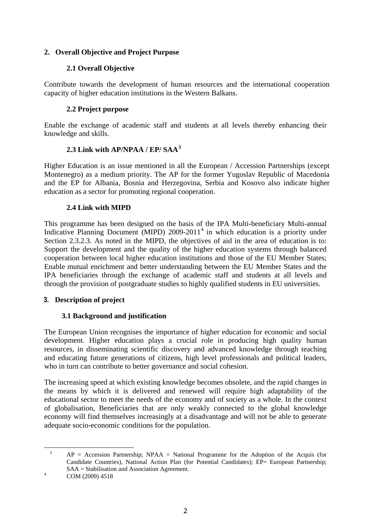## **2. Overall Objective and Project Purpose**

## **2.1 Overall Objective**

Contribute towards the development of human resources and the international cooperation capacity of higher education institutions in the Western Balkans.

## **2.2 Project purpose**

Enable the exchange of academic staff and students at all levels thereby enhancing their knowledge and skills.

## **2.3 Link with AP/NPAA / EP/ SAA[3](#page-1-0)**

Higher Education is an issue mentioned in all the European / Accession Partnerships (except Montenegro) as a medium priority. The AP for the former Yugoslav Republic of Macedonia and the EP for Albania, Bosnia and Herzegovina, Serbia and Kosovo also indicate higher education as a sector for promoting regional cooperation.

## **2.4 Link with MIPD**

This programme has been designed on the basis of the IPA Multi-beneficiary Multi-annual Indicative Planning Document (MIPD)  $2009-2011<sup>4</sup>$  $2009-2011<sup>4</sup>$  $2009-2011<sup>4</sup>$  in which education is a priority under Section 2.3.2.3. As noted in the MIPD, the objectives of aid in the area of education is to: Support the development and the quality of the higher education systems through balanced cooperation between local higher education institutions and those of the EU Member States; Enable mutual enrichment and better understanding between the EU Member States and the IPA beneficiaries through the exchange of academic staff and students at all levels and through the provision of postgraduate studies to highly qualified students in EU universities.

### **3. Description of project**

## **3.1 Background and justification**

The European Union recognises the importance of higher education for economic and social development. Higher education plays a crucial role in producing high quality human resources, in disseminating scientific discovery and advanced knowledge through teaching and educating future generations of citizens, high level professionals and political leaders, who in turn can contribute to better governance and social cohesion.

The increasing speed at which existing knowledge becomes obsolete, and the rapid changes in the means by which it is delivered and renewed will require high adaptability of the educational sector to meet the needs of the economy and of society as a whole. In the context of globalisation, Beneficiaries that are only weakly connected to the global knowledge economy will find themselves increasingly at a disadvantage and will not be able to generate adequate socio-economic conditions for the population.

<span id="page-1-1"></span><span id="page-1-0"></span>COM (2009) 4518

 <sup>3</sup>  $AP = Accession$  Partnership;  $NPAA = National Programme$  for the Adoption of the Acquis (for Candidate Countries), National Action Plan (for Potential Candidates); EP= European Partnership;  $SAA = Stabilisation$  and Association Agreement.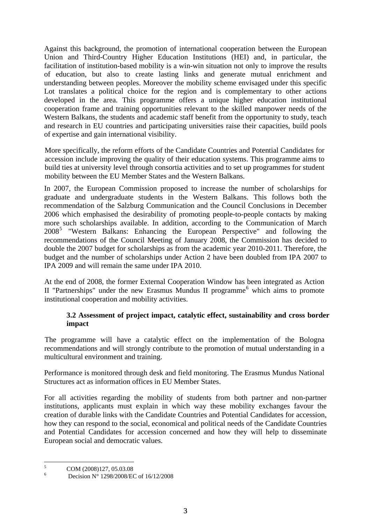Against this background, the promotion of international cooperation between the European Union and Third-Country Higher Education Institutions (HEI) and, in particular, the facilitation of institution-based mobility is a win-win situation not only to improve the results of education, but also to create lasting links and generate mutual enrichment and understanding between peoples. Moreover the mobility scheme envisaged under this specific Lot translates a political choice for the region and is complementary to other actions developed in the area. This programme offers a unique higher education institutional cooperation frame and training opportunities relevant to the skilled manpower needs of the Western Balkans, the students and academic staff benefit from the opportunity to study, teach and research in EU countries and participating universities raise their capacities, build pools of expertise and gain international visibility.

More specifically, the reform efforts of the Candidate Countries and Potential Candidates for accession include improving the quality of their education systems. This programme aims to build ties at university level through consortia activities and to set up programmes for student mobility between the EU Member States and the Western Balkans.

In 2007, the European Commission proposed to increase the number of scholarships for graduate and undergraduate students in the Western Balkans. This follows both the recommendation of the Salzburg Communication and the Council Conclusions in December 2006 which emphasised the desirability of promoting people-to-people contacts by making more such scholarships available. In addition, according to the Communication of March 2008[5](#page-2-0) "Western Balkans: Enhancing the European Perspective" and following the recommendations of the Council Meeting of January 2008, the Commission has decided to double the 2007 budget for scholarships as from the academic year 2010-2011. Therefore, the budget and the number of scholarships under Action 2 have been doubled from IPA 2007 to IPA 2009 and will remain the same under IPA 2010.

At the end of 2008, the former External Cooperation Window has been integrated as Action II "Partnerships" under the new Erasmus Mundus II programme<sup>[6](#page-2-1)</sup> which aims to promote institutional cooperation and mobility activities.

### **3.2 Assessment of project impact, catalytic effect, sustainability and cross border impact**

The programme will have a catalytic effect on the implementation of the Bologna recommendations and will strongly contribute to the promotion of mutual understanding in a multicultural environment and training.

Performance is monitored through desk and field monitoring. The Erasmus Mundus National Structures act as information offices in EU Member States.

For all activities regarding the mobility of students from both partner and non-partner institutions, applicants must explain in which way these mobility exchanges favour the creation of durable links with the Candidate Countries and Potential Candidates for accession, how they can respond to the social, economical and political needs of the Candidate Countries and Potential Candidates for accession concerned and how they will help to disseminate European social and democratic values.

 $\frac{1}{5}$ COM (2008)127, 05.03.08

<span id="page-2-1"></span><span id="page-2-0"></span><sup>6</sup> Decision N° 1298/2008/EC of 16/12/2008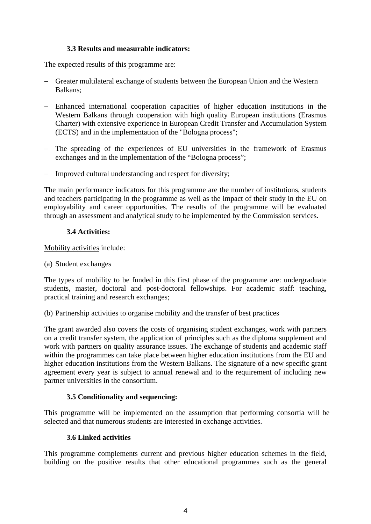### **3.3 Results and measurable indicators:**

The expected results of this programme are:

- − Greater multilateral exchange of students between the European Union and the Western Balkans;
- − Enhanced international cooperation capacities of higher education institutions in the Western Balkans through cooperation with high quality European institutions (Erasmus Charter) with extensive experience in European Credit Transfer and Accumulation System (ECTS) and in the implementation of the "Bologna process";
- − The spreading of the experiences of EU universities in the framework of Erasmus exchanges and in the implementation of the "Bologna process";
- − Improved cultural understanding and respect for diversity;

The main performance indicators for this programme are the number of institutions, students and teachers participating in the programme as well as the impact of their study in the EU on employability and career opportunities. The results of the programme will be evaluated through an assessment and analytical study to be implemented by the Commission services.

### **3.4 Activities:**

Mobility activities include:

(a) Student exchanges

The types of mobility to be funded in this first phase of the programme are: undergraduate students, master, doctoral and post-doctoral fellowships. For academic staff: teaching, practical training and research exchanges;

(b) Partnership activities to organise mobility and the transfer of best practices

The grant awarded also covers the costs of organising student exchanges, work with partners on a credit transfer system, the application of principles such as the diploma supplement and work with partners on quality assurance issues. The exchange of students and academic staff within the programmes can take place between higher education institutions from the EU and higher education institutions from the Western Balkans. The signature of a new specific grant agreement every year is subject to annual renewal and to the requirement of including new partner universities in the consortium.

### **3.5 Conditionality and sequencing:**

This programme will be implemented on the assumption that performing consortia will be selected and that numerous students are interested in exchange activities.

### **3.6 Linked activities**

This programme complements current and previous higher education schemes in the field, building on the positive results that other educational programmes such as the general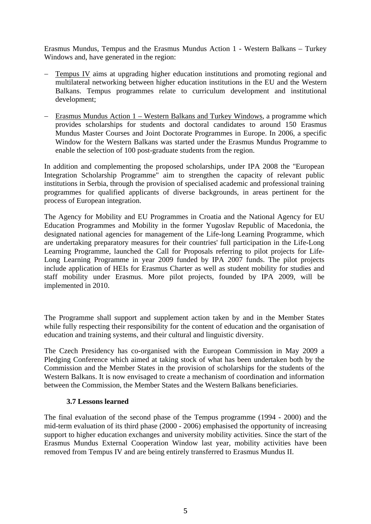Erasmus Mundus, Tempus and the Erasmus Mundus Action 1 - Western Balkans – Turkey Windows and, have generated in the region:

- Tempus IV aims at upgrading higher education institutions and promoting regional and multilateral networking between higher education institutions in the EU and the Western Balkans. Tempus programmes relate to curriculum development and institutional development;
- − Erasmus Mundus Action 1 Western Balkans and Turkey Windows, a programme which provides scholarships for students and doctoral candidates to around 150 Erasmus Mundus Master Courses and Joint Doctorate Programmes in Europe. In 2006, a specific Window for the Western Balkans was started under the Erasmus Mundus Programme to enable the selection of 100 post-graduate students from the region.

In addition and complementing the proposed scholarships, under IPA 2008 the "European Integration Scholarship Programme" aim to strengthen the capacity of relevant public institutions in Serbia, through the provision of specialised academic and professional training programmes for qualified applicants of diverse backgrounds, in areas pertinent for the process of European integration.

The Agency for Mobility and EU Programmes in Croatia and the National Agency for EU Education Programmes and Mobility in the former Yugoslav Republic of Macedonia, the designated national agencies for management of the Life-long Learning Programme, which are undertaking preparatory measures for their countries' full participation in the Life-Long Learning Programme, launched the Call for Proposals referring to pilot projects for Life-Long Learning Programme in year 2009 funded by IPA 2007 funds. The pilot projects include application of HEIs for Erasmus Charter as well as student mobility for studies and staff mobility under Erasmus. More pilot projects, founded by IPA 2009, will be implemented in 2010.

The Programme shall support and supplement action taken by and in the Member States while fully respecting their responsibility for the content of education and the organisation of education and training systems, and their cultural and linguistic diversity.

The Czech Presidency has co-organised with the European Commission in May 2009 a Pledging Conference which aimed at taking stock of what has been undertaken both by the Commission and the Member States in the provision of scholarships for the students of the Western Balkans. It is now envisaged to create a mechanism of coordination and information between the Commission, the Member States and the Western Balkans beneficiaries.

#### **3.7 Lessons learned**

The final evaluation of the second phase of the Tempus programme (1994 - 2000) and the mid-term evaluation of its third phase (2000 - 2006) emphasised the opportunity of increasing support to higher education exchanges and university mobility activities. Since the start of the Erasmus Mundus External Cooperation Window last year, mobility activities have been removed from Tempus IV and are being entirely transferred to Erasmus Mundus II.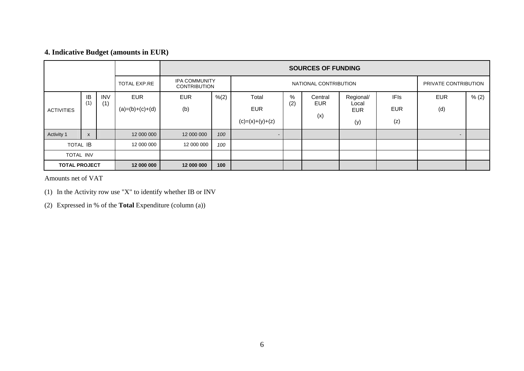## **4. Indicative Budget (amounts in EUR)**

|                      |                           |              | <b>SOURCES OF FUNDING</b>                   |            |                       |                   |     |         |                      |             |                          |       |
|----------------------|---------------------------|--------------|---------------------------------------------|------------|-----------------------|-------------------|-----|---------|----------------------|-------------|--------------------------|-------|
|                      |                           | TOTAL EXP.RE | <b>IPA COMMUNITY</b><br><b>CONTRIBUTION</b> |            | NATIONAL CONTRIBUTION |                   |     |         | PRIVATE CONTRIBUTION |             |                          |       |
|                      | IB                        | <b>INV</b>   | <b>EUR</b>                                  | <b>EUR</b> | % (2)                 | Total             | %   | Central | Regional/            | <b>IFIs</b> | <b>EUR</b>               | % (2) |
| <b>ACTIVITIES</b>    | (1)                       | (1)          | $(a)=(b)+(c)+(d)$                           | (b)        |                       | <b>EUR</b>        | (2) | EUR     | Local<br><b>EUR</b>  | <b>EUR</b>  | (d)                      |       |
|                      |                           |              |                                             |            |                       | $(c)=(x)+(y)+(z)$ |     | (x)     | (y)                  | (z)         |                          |       |
| Activity 1           | $\boldsymbol{\mathsf{x}}$ |              | 12 000 000                                  | 12 000 000 | 100                   | $\blacksquare$    |     |         |                      |             | $\overline{\phantom{0}}$ |       |
| <b>TOTAL IB</b>      |                           | 12 000 000   | 12 000 000                                  | 100        |                       |                   |     |         |                      |             |                          |       |
| <b>TOTAL INV</b>     |                           |              |                                             |            |                       |                   |     |         |                      |             |                          |       |
| <b>TOTAL PROJECT</b> |                           | 12 000 000   | 12 000 000                                  | 100        |                       |                   |     |         |                      |             |                          |       |

Amounts net of VAT

(1) In the Activity row use "X" to identify whether IB or INV

(2) Expressed in % of the **Total** Expenditure (column (a))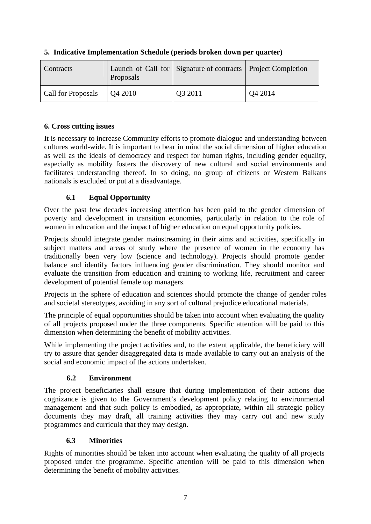| <b>Contracts</b>          | Proposals       | Launch of Call for Signature of contracts   Project Completion |        |
|---------------------------|-----------------|----------------------------------------------------------------|--------|
| <b>Call for Proposals</b> | $\vert$ Q4 2010 | Q3 2011                                                        | Q42014 |

## **5. Indicative Implementation Schedule (periods broken down per quarter)**

## **6. Cross cutting issues**

It is necessary to increase Community efforts to promote dialogue and understanding between cultures world-wide. It is important to bear in mind the social dimension of higher education as well as the ideals of democracy and respect for human rights, including gender equality, especially as mobility fosters the discovery of new cultural and social environments and facilitates understanding thereof. In so doing, no group of citizens or Western Balkans nationals is excluded or put at a disadvantage.

## **6.1 Equal Opportunity**

Over the past few decades increasing attention has been paid to the gender dimension of poverty and development in transition economies, particularly in relation to the role of women in education and the impact of higher education on equal opportunity policies.

Projects should integrate gender mainstreaming in their aims and activities, specifically in subject matters and areas of study where the presence of women in the economy has traditionally been very low (science and technology). Projects should promote gender balance and identify factors influencing gender discrimination. They should monitor and evaluate the transition from education and training to working life, recruitment and career development of potential female top managers.

Projects in the sphere of education and sciences should promote the change of gender roles and societal stereotypes, avoiding in any sort of cultural prejudice educational materials.

The principle of equal opportunities should be taken into account when evaluating the quality of all projects proposed under the three components. Specific attention will be paid to this dimension when determining the benefit of mobility activities.

While implementing the project activities and, to the extent applicable, the beneficiary will try to assure that gender disaggregated data is made available to carry out an analysis of the social and economic impact of the actions undertaken.

## **6.2 Environment**

The project beneficiaries shall ensure that during implementation of their actions due cognizance is given to the Government's development policy relating to environmental management and that such policy is embodied, as appropriate, within all strategic policy documents they may draft, all training activities they may carry out and new study programmes and curricula that they may design.

## **6.3 Minorities**

Rights of minorities should be taken into account when evaluating the quality of all projects proposed under the programme. Specific attention will be paid to this dimension when determining the benefit of mobility activities.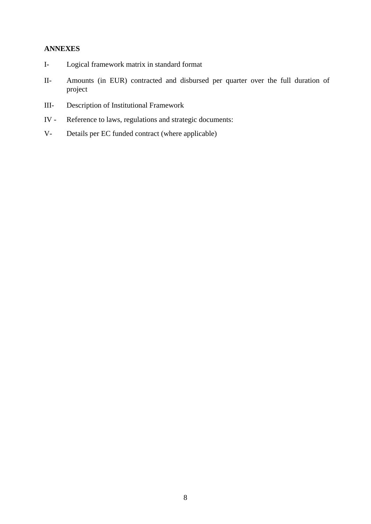### **ANNEXES**

- I- Logical framework matrix in standard format
- II- Amounts (in EUR) contracted and disbursed per quarter over the full duration of project
- III- Description of Institutional Framework
- IV Reference to laws, regulations and strategic documents:
- V- Details per EC funded contract (where applicable)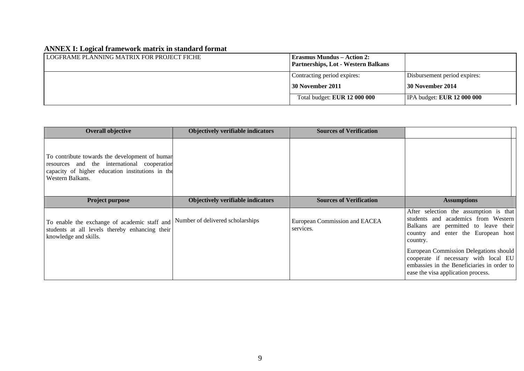## **ANNEX I: Logical framework matrix in standard format**

| LOGFRAME PLANNING MATRIX FOR PROJECT FICHE | <b>Erasmus Mundus – Action 2:</b><br>Partnerships, Lot - Western Balkans |                                          |
|--------------------------------------------|--------------------------------------------------------------------------|------------------------------------------|
|                                            | Contracting period expires:                                              | Disbursement period expires:             |
|                                            | 30 November 2011                                                         | 30 November 2014                         |
|                                            | Total budget: <b>EUR 12 000 000</b>                                      | <b>IPA</b> budget: <b>EUR</b> 12 000 000 |

| <b>Overall objective</b>                                                                                                                                                 | <b>Objectively verifiable indicators</b> | <b>Sources of Verification</b>             |                                                                                                                                                                          |
|--------------------------------------------------------------------------------------------------------------------------------------------------------------------------|------------------------------------------|--------------------------------------------|--------------------------------------------------------------------------------------------------------------------------------------------------------------------------|
| To contribute towards the development of human<br>and the international cooperation<br>resources<br>capacity of higher education institutions in the<br>Western Balkans. |                                          |                                            |                                                                                                                                                                          |
| <b>Project purpose</b>                                                                                                                                                   | <b>Objectively verifiable indicators</b> | <b>Sources of Verification</b>             | <b>Assumptions</b>                                                                                                                                                       |
| To enable the exchange of academic staff and Number of delivered scholarships<br>students at all levels thereby enhancing their<br>knowledge and skills.                 |                                          | European Commission and EACEA<br>services. | After selection the assumption is that<br>students and academics from Western<br>Balkans are permitted to leave their<br>country and enter the European host<br>country. |
|                                                                                                                                                                          |                                          |                                            | European Commission Delegations should<br>cooperate if necessary with local EU<br>embassies in the Beneficiaries in order to<br>ease the visa application process.       |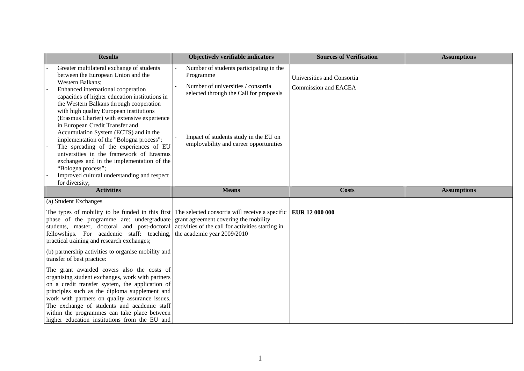|                                                                                                                                                                                                                                                                                          | <b>Results</b>                                                                                                                                                                                                                                                                                                                                                                                        | <b>Objectively verifiable indicators</b>                                                                                              | <b>Sources of Verification</b>                            | <b>Assumptions</b> |
|------------------------------------------------------------------------------------------------------------------------------------------------------------------------------------------------------------------------------------------------------------------------------------------|-------------------------------------------------------------------------------------------------------------------------------------------------------------------------------------------------------------------------------------------------------------------------------------------------------------------------------------------------------------------------------------------------------|---------------------------------------------------------------------------------------------------------------------------------------|-----------------------------------------------------------|--------------------|
|                                                                                                                                                                                                                                                                                          | Greater multilateral exchange of students<br>between the European Union and the<br>Western Balkans;<br>Enhanced international cooperation<br>capacities of higher education institutions in<br>the Western Balkans through cooperation<br>with high quality European institutions                                                                                                                     | Number of students participating in the<br>Programme<br>Number of universities / consortia<br>selected through the Call for proposals | Universities and Consortia<br><b>Commission and EACEA</b> |                    |
|                                                                                                                                                                                                                                                                                          | (Erasmus Charter) with extensive experience<br>in European Credit Transfer and<br>Accumulation System (ECTS) and in the<br>implementation of the "Bologna process";<br>The spreading of the experiences of EU<br>universities in the framework of Erasmus<br>exchanges and in the implementation of the<br>"Bologna process";<br>Improved cultural understanding and respect<br>for diversity;        | Impact of students study in the EU on<br>employability and career opportunities                                                       |                                                           |                    |
|                                                                                                                                                                                                                                                                                          | <b>Activities</b>                                                                                                                                                                                                                                                                                                                                                                                     | <b>Means</b>                                                                                                                          | <b>Costs</b>                                              | <b>Assumptions</b> |
|                                                                                                                                                                                                                                                                                          | (a) Student Exchanges                                                                                                                                                                                                                                                                                                                                                                                 |                                                                                                                                       |                                                           |                    |
| The types of mobility to be funded in this first The selected consortia will receive a specific<br>phase of the programme are: undergraduate<br>students, master, doctoral and post-doctoral<br>fellowships. For academic staff: teaching,<br>practical training and research exchanges; |                                                                                                                                                                                                                                                                                                                                                                                                       | grant agreement covering the mobility<br>activities of the call for activities starting in<br>the academic year 2009/2010             | EUR 12 000 000                                            |                    |
|                                                                                                                                                                                                                                                                                          | (b) partnership activities to organise mobility and<br>transfer of best practice:                                                                                                                                                                                                                                                                                                                     |                                                                                                                                       |                                                           |                    |
|                                                                                                                                                                                                                                                                                          | The grant awarded covers also the costs of<br>organising student exchanges, work with partners<br>on a credit transfer system, the application of<br>principles such as the diploma supplement and<br>work with partners on quality assurance issues.<br>The exchange of students and academic staff<br>within the programmes can take place between<br>higher education institutions from the EU and |                                                                                                                                       |                                                           |                    |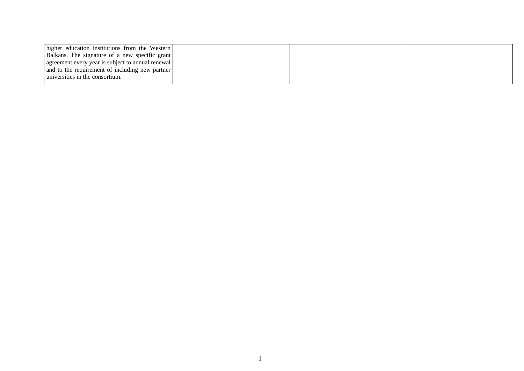| higher education institutions from the Western    |  |  |
|---------------------------------------------------|--|--|
| Balkans. The signature of a new specific grant    |  |  |
| agreement every year is subject to annual renewal |  |  |
| and to the requirement of including new partner   |  |  |
| universities in the consortium.                   |  |  |
|                                                   |  |  |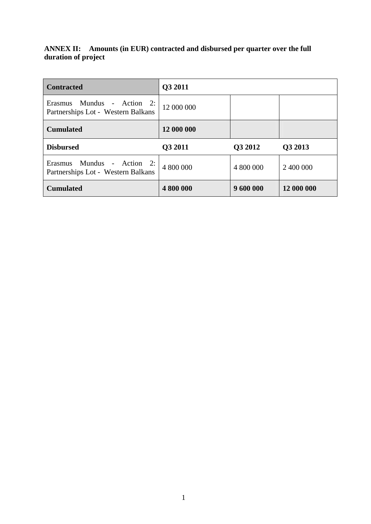# **ANNEX II: Amounts (in EUR) contracted and disbursed per quarter over the full duration of project**

| <b>Contracted</b>                                                          | Q3 2011    |           |            |
|----------------------------------------------------------------------------|------------|-----------|------------|
| Mundus - Action 2:<br><b>Erasmus</b><br>Partnerships Lot - Western Balkans | 12 000 000 |           |            |
| <b>Cumulated</b>                                                           | 12 000 000 |           |            |
| <b>Disbursed</b>                                                           | Q3 2011    | Q3 2012   | Q3 2013    |
| Erasmus Mundus - Action 2:<br>Partnerships Lot - Western Balkans           | 4 800 000  | 4 800 000 | 2 400 000  |
| <b>Cumulated</b>                                                           | 4 800 000  | 9 600 000 | 12 000 000 |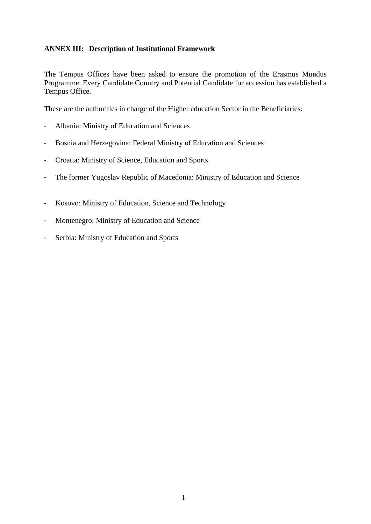## **ANNEX III: Description of Institutional Framework**

The Tempus Offices have been asked to ensure the promotion of the Erasmus Mundus Programme. Every Candidate Country and Potential Candidate for accession has established a Tempus Office.

These are the authorities in charge of the Higher education Sector in the Beneficiaries:

- Albania: Ministry of Education and Sciences
- Bosnia and Herzegovina: Federal Ministry of Education and Sciences
- Croatia: Ministry of Science, Education and Sports
- The former Yugoslav Republic of Macedonia: Ministry of Education and Science
- Kosovo: Ministry of Education, Science and Technology
- Montenegro: Ministry of Education and Science
- Serbia: Ministry of Education and Sports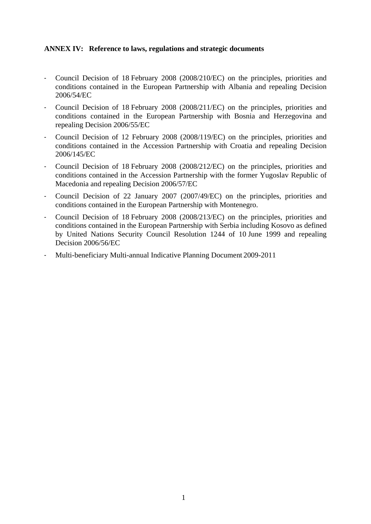#### **ANNEX IV: Reference to laws, regulations and strategic documents**

- Council Decision of 18 February 2008 (2008/210/EC) on the principles, priorities and conditions contained in the European Partnership with Albania and repealing Decision 2006/54/EC
- Council Decision of 18 February 2008 (2008/211/EC) on the principles, priorities and conditions contained in the European Partnership with Bosnia and Herzegovina and repealing Decision 2006/55/EC
- Council Decision of 12 February 2008 (2008/119/EC) on the principles, priorities and conditions contained in the Accession Partnership with Croatia and repealing Decision 2006/145/EC
- Council Decision of 18 February 2008 (2008/212/EC) on the principles, priorities and conditions contained in the Accession Partnership with the former Yugoslav Republic of Macedonia and repealing Decision 2006/57/EC
- Council Decision of 22 January 2007 (2007/49/EC) on the principles, priorities and conditions contained in the European Partnership with Montenegro.
- Council Decision of 18 February 2008 (2008/213/EC) on the principles, priorities and conditions contained in the European Partnership with Serbia including Kosovo as defined by United Nations Security Council Resolution 1244 of 10 June 1999 and repealing Decision 2006/56/EC
- Multi-beneficiary Multi-annual Indicative Planning Document 2009-2011